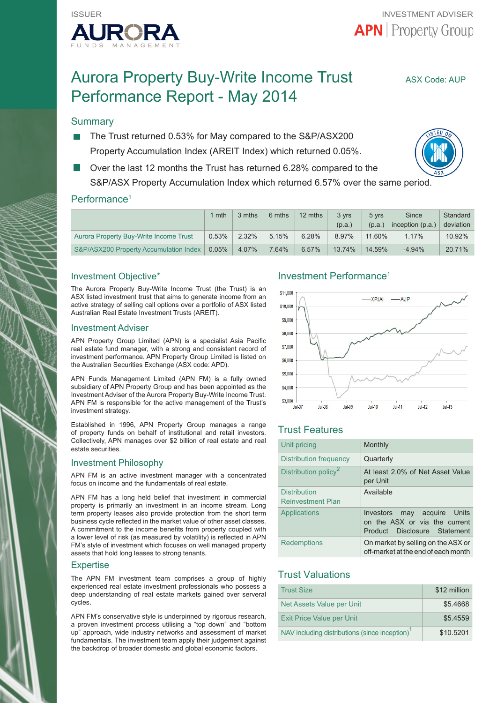

# Aurora Property Buy-Write Income Trust ASX Code: AUP Performance Report - May 2014

## **Summary**

- The Trust returned 0.53% for May compared to the S&P/ASX200 Property Accumulation Index (AREIT Index) which returned 0.05%.
- Over the last 12 months the Trust has returned 6.28% compared to the S&P/ASX Property Accumulation Index which returned 6.57% over the same period.

## Performance<sup>1</sup>

|                                        | 1 mth | 3 mths | 6 mths | 12 mths | 3 vrs<br>(p.a.) | 5 vrs<br>(p.a.) | Since<br>inception $(p.a.)$ | Standard<br>deviation |
|----------------------------------------|-------|--------|--------|---------|-----------------|-----------------|-----------------------------|-----------------------|
| Aurora Property Buy-Write Income Trust | 0.53% | 2.32%  | 5.15%  | 6.28%   | 8.97%           | 11.60%          | 1.17%                       | 10.92%                |
| S&P/ASX200 Property Accumulation Index | 0.05% | 4.07%  | 7.64%  | 6.57%   | 13.74%          | 14.59%          | $-4.94%$                    | 20.71%                |

## Investment Objective\*

The Aurora Property Buy-Write Income Trust (the Trust) is an ASX listed investment trust that aims to generate income from an active strategy of selling call options over a portfolio of ASX listed Australian Real Estate Investment Trusts (AREIT).

#### Investment Adviser

APN Property Group Limited (APN) is a specialist Asia Pacific real estate fund manager, with a strong and consistent record of investment performance. APN Property Group Limited is listed on the Australian Securities Exchange (ASX code: APD).

APN Funds Management Limited (APN FM) is a fully owned subsidiary of APN Property Group and has been appointed as the Investment Adviser of the Aurora Property Buy-Write Income Trust. APN FM is responsible for the active management of the Trust's investment strategy.

Established in 1996, APN Property Group manages a range of property funds on behalf of institutional and retail investors. Collectively, APN manages over \$2 billion of real estate and real estate securities.

#### Investment Philosophy

APN FM is an active investment manager with a concentrated focus on income and the fundamentals of real estate.

APN FM has a long held belief that investment in commercial property is primarily an investment in an income stream. Long term property leases also provide protection from the short term business cycle reflected in the market value of other asset classes. A commitment to the income benefits from property coupled with a lower level of risk (as measured by volatility) is reflected in APN FM's style of investment which focuses on well managed property assets that hold long leases to strong tenants.

#### **Expertise**

The APN FM investment team comprises a group of highly experienced real estate investment professionals who possess a deep understanding of real estate markets gained over serveral cycles.

APN FM's conservative style is underpinned by rigorous research, a proven investment process utilising a "top down" and "bottom up" approach, wide industry networks and assessment of market fundamentals. The investment team apply their judgement against the backdrop of broader domestic and global economic factors.

## Investment Performance1



## Trust Features

| Unit pricing                                    | Monthly                                                                                         |
|-------------------------------------------------|-------------------------------------------------------------------------------------------------|
| <b>Distribution frequency</b>                   | Quarterly                                                                                       |
| Distribution policy <sup>2</sup>                | At least 2.0% of Net Asset Value<br>per Unit                                                    |
| <b>Distribution</b><br><b>Reinvestment Plan</b> | Available                                                                                       |
| Applications                                    | may acquire Units<br>Investors<br>on the ASX or via the current<br>Product Disclosure Statement |
| <b>Redemptions</b>                              | On market by selling on the ASX or<br>off-market at the end of each month                       |

## Trust Valuations

| <b>Trust Size</b>                                          | \$12 million |
|------------------------------------------------------------|--------------|
| Net Assets Value per Unit                                  | \$5.4668     |
| Exit Price Value per Unit                                  | \$5.4559     |
| NAV including distributions (since inception) <sup>1</sup> | \$10.5201    |